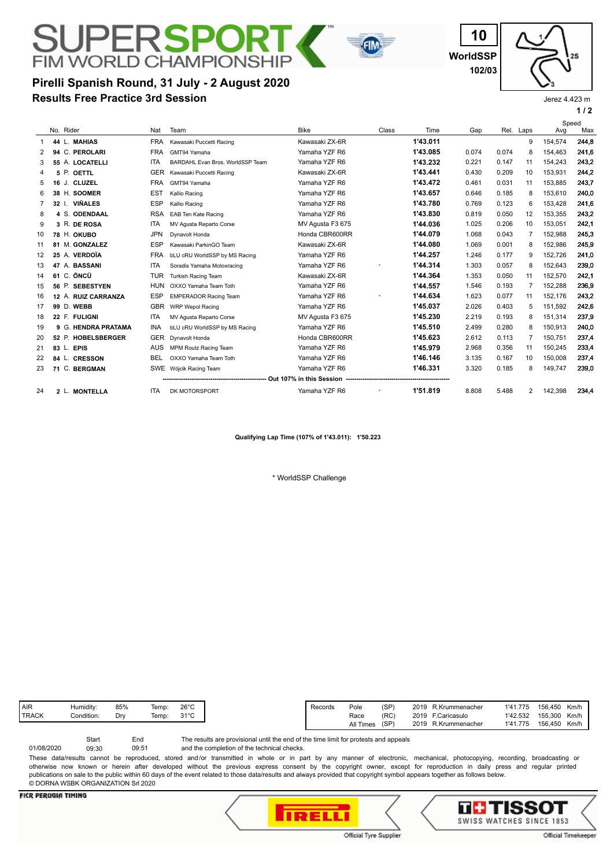# **FIM WORLD CHAMPIONSH Pirelli Spanish Round, 31 July - 2 August 2020 Results Free Practice 3rd Session**

**WorldSSP 10 102/03**



Jerez 4.423 m

|    |                           |            |                                  |                  |          |          |       |       |                |         | 1/2          |
|----|---------------------------|------------|----------------------------------|------------------|----------|----------|-------|-------|----------------|---------|--------------|
|    | No. Rider                 | Nat        | Team                             | <b>Bike</b>      | Class    | Time     | Gap   | Rel.  | Laps           | Avg     | Speed<br>Max |
|    | 44 L. MAHIAS              | <b>FRA</b> | Kawasaki Puccetti Racing         | Kawasaki ZX-6R   |          | 1'43.011 |       |       | 9              | 154,574 | 244,8        |
|    | 94 C. PEROLARI            | <b>FRA</b> | GMT94 Yamaha                     | Yamaha YZF R6    |          | 1'43.085 | 0.074 | 0.074 | 8              | 154.463 | 241,6        |
| 3  | 55 A. LOCATELLI           | <b>ITA</b> | BARDAHL Evan Bros, WorldSSP Team | Yamaha YZF R6    |          | 1'43.232 | 0.221 | 0.147 | 11             | 154,243 | 243,2        |
| 4  | 5 P. OETTL                | <b>GER</b> | Kawasaki Puccetti Racing         | Kawasaki ZX-6R   |          | 1'43.441 | 0.430 | 0.209 | 10             | 153.931 | 244,2        |
| 5  | 16 J. CLUZEL              | <b>FRA</b> | GMT94 Yamaha                     | Yamaha YZF R6    |          | 1'43.472 | 0.461 | 0.031 | 11             | 153,885 | 243,7        |
| 6  | 38 H. SOOMER              | <b>EST</b> | Kallio Racing                    | Yamaha YZF R6    |          | 1'43.657 | 0.646 | 0.185 | 8              | 153,610 | 240,0        |
| 7  | <b>VIÑALES</b><br>32 I.   | <b>ESP</b> | Kallio Racing                    | Yamaha YZF R6    |          | 1'43.780 | 0.769 | 0.123 | 6              | 153.428 | 241.6        |
| 8  | 4 S. ODENDAAL             | <b>RSA</b> | EAB Ten Kate Racing              | Yamaha YZF R6    |          | 1'43.830 | 0.819 | 0.050 | 12             | 153,355 | 243,2        |
| 9  | 3 R. DE ROSA              | <b>ITA</b> | MV Agusta Reparto Corse          | MV Agusta F3 675 |          | 1'44.036 | 1.025 | 0.206 | 10             | 153.051 | 242.1        |
| 10 | 78 H. OKUBO               | <b>JPN</b> | Dynavolt Honda                   | Honda CBR600RR   |          | 1'44.079 | 1.068 | 0.043 | $\overline{7}$ | 152,988 | 245,3        |
| 11 | 81 M. GONZALEZ            | <b>ESP</b> | Kawasaki ParkinGO Team           | Kawasaki ZX-6R   |          | 1'44.080 | 1.069 | 0.001 | 8              | 152,986 | 245.9        |
| 12 | 25 A. VERDOÏA             | <b>FRA</b> | bLU cRU WorldSSP by MS Racing    | Yamaha YZF R6    |          | 1'44.257 | 1.246 | 0.177 | 9              | 152.726 | 241.0        |
| 13 | 47 A. BASSANI             | <b>ITA</b> | Soradis Yamaha Motoxracing       | Yamaha YZF R6    | $^\star$ | 1'44.314 | 1.303 | 0.057 | 8              | 152,643 | 239,0        |
| 14 | 61 C. ÖNCÜ                | <b>TUR</b> | <b>Turkish Racing Team</b>       | Kawasaki ZX-6R   |          | 1'44.364 | 1.353 | 0.050 | 11             | 152,570 | 242,1        |
| 15 | 56 P. SEBESTYEN           | <b>HUN</b> | OXXO Yamaha Team Toth            | Yamaha YZF R6    |          | 1'44.557 | 1.546 | 0.193 | $\overline{7}$ | 152.288 | 236,9        |
| 16 | 12 A. RUIZ CARRANZA       | <b>ESP</b> | <b>EMPERADOR Racing Team</b>     | Yamaha YZF R6    | $^\star$ | 1'44.634 | 1.623 | 0.077 | 11             | 152.176 | 243,2        |
| 17 | 99 D. WEBB                | <b>GBR</b> | <b>WRP Wepol Racing</b>          | Yamaha YZF R6    |          | 1'45.037 | 2.026 | 0.403 | 5              | 151,592 | 242,6        |
| 18 | 22 F. FULIGNI             | <b>ITA</b> | MV Agusta Reparto Corse          | MV Agusta F3 675 |          | 1'45.230 | 2.219 | 0.193 | 8              | 151,314 | 237,9        |
| 19 | 9 G. HENDRA PRATAMA       | <b>INA</b> | bLU cRU WorldSSP by MS Racing    | Yamaha YZF R6    |          | 1'45.510 | 2.499 | 0.280 | 8              | 150.913 | 240,0        |
| 20 | 52 P. HOBELSBERGER        | <b>GER</b> | Dynavolt Honda                   | Honda CBR600RR   |          | 1'45.623 | 2.612 | 0.113 | 7              | 150.751 | 237,4        |
| 21 | 83 L. EPIS                | <b>AUS</b> | MPM Routz Racing Team            | Yamaha YZF R6    |          | 1'45.979 | 2.968 | 0.356 | 11             | 150,245 | 233,4        |
| 22 | 84 L. CRESSON             | <b>BEL</b> | OXXO Yamaha Team Toth            | Yamaha YZF R6    |          | 1'46.146 | 3.135 | 0.167 | 10             | 150,008 | 237,4        |
| 23 | 71 C. BERGMAN             |            | SWE Wójcik Racing Team           | Yamaha YZF R6    |          | 1'46.331 | 3.320 | 0.185 | 8              | 149,747 | 239,0        |
|    |                           |            |                                  |                  |          |          |       |       |                |         |              |
| 24 | <b>MONTELLA</b><br>$2$ L. | <b>ITA</b> | DK MOTORSPORT                    | Yamaha YZF R6    | $^\star$ | 1'51.819 | 8.808 | 5.488 | 2              | 142.398 | 234,4        |

**Qualifying Lap Time (107% of 1'43.011): 1'50.223**

\* WorldSSP Challenge

| <b>AIR</b>   | Humidity:  | 85%<br>$ -$ | Temp: | $26^{\circ}$ C |
|--------------|------------|-------------|-------|----------------|
| <b>TRACK</b> | Condition: | Drv         | Temp: | $31^{\circ}$ C |
|              |            |             |       |                |

and the completion of the technical checks. The results are provisional until the end of the time limit for protests and appeals 09:51 Start End 01/08/2020 09:30 These data/results cannot be reproduced, stored and/or transmitted in whole or in part by any manner of electronic, mechanical, photocopying, recording, broadcasting or otherwise now known or herein after developed without the previous express consent by the copyright owner, except for reproduction in daily press and regular printed

publications on sale to the public within 60 days of the event related to those data/results and always provided that copyright symbol appears together as follows below. © DORNA WSBK ORGANIZATION Srl 2020

## **FICR PERUGIA TIMING**





Official Timekeeper